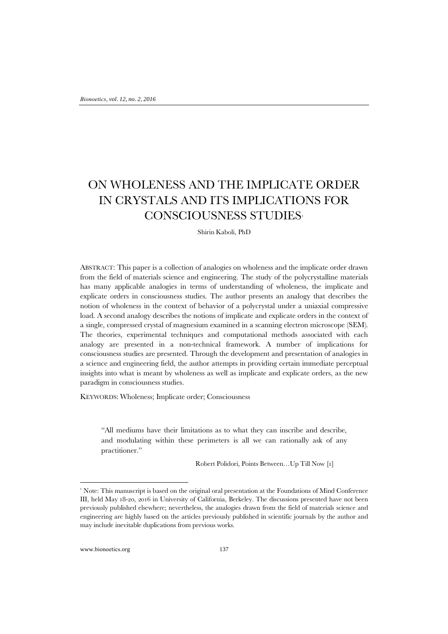# ON WHOLENESS AND THE IMPLICATE ORDER IN CRYSTALS AND ITS IMPLICATIONS FOR CONSCIOUSNESS STUDIES[1](#page-0-0)

Shirin Kaboli, PhD

ABSTRACT: This paper is a collection of analogies on wholeness and the implicate order drawn from the field of materials science and engineering. The study of the polycrystalline materials has many applicable analogies in terms of understanding of wholeness, the implicate and explicate orders in consciousness studies. The author presents an analogy that describes the notion of wholeness in the context of behavior of a polycrystal under a uniaxial compressive load. A second analogy describes the notions of implicate and explicate orders in the context of a single, compressed crystal of magnesium examined in a scanning electron microscope (SEM). The theories, experimental techniques and computational methods associated with each analogy are presented in a non-technical framework. A number of implications for consciousness studies are presented. Through the development and presentation of analogies in a science and engineering field, the author attempts in providing certain immediate perceptual insights into what is meant by wholeness as well as implicate and explicate orders, as the new paradigm in consciousness studies.

KEYWORDS: Wholeness; Implicate order; Consciousness

"All mediums have their limitations as to what they can inscribe and describe, and modulating within these perimeters is all we can rationally ask of any practitioner."

Robert Polidori, Points Between…Up Till Now [1]

www.bionoetics.org 137

<span id="page-0-0"></span><sup>&</sup>lt;sup>1</sup> Note: This manuscript is based on the original oral presentation at the Foundations of Mind Conference III, held May 18-20, 2016 in University of California, Berkeley. The discussions presented have not been previously published elsewhere; nevertheless, the analogies drawn from the field of materials science and engineering are highly based on the articles previously published in scientific journals by the author and may include inevitable duplications from previous works.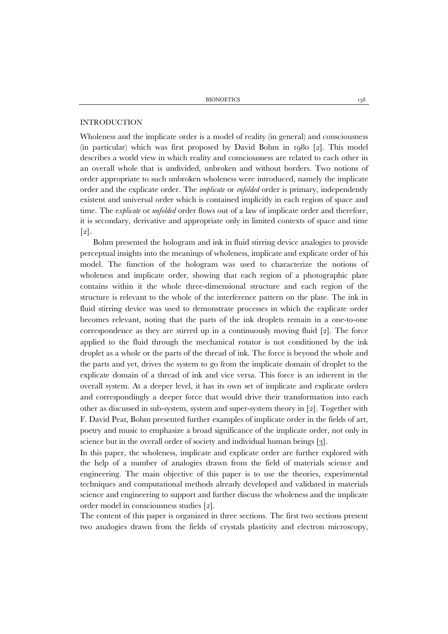BIONOETICS 138

## INTRODUCTION

Wholeness and the implicate order is a model of reality (in general) and consciousness (in particular) which was first proposed by David Bohm in 1980 [2]. This model describes a world view in which reality and consciousness are related to each other in an overall whole that is undivided, unbroken and without borders. Two notions of order appropriate to such unbroken wholeness were introduced, namely the implicate order and the explicate order. The *implicate* or *enfolded* order is primary, independently existent and universal order which is contained implicitly in each region of space and time. The e*xplicate* or *unfolded* order flows out of a law of implicate order and therefore, it is secondary, derivative and appropriate only in limited contexts of space and time [2].

Bohm presented the hologram and ink in fluid stirring device analogies to provide perceptual insights into the meanings of wholeness, implicate and explicate order of his model. The function of the hologram was used to characterize the notions of wholeness and implicate order, showing that each region of a photographic plate contains within it the whole three-dimensional structure and each region of the structure is relevant to the whole of the interference pattern on the plate. The ink in fluid stirring device was used to demonstrate processes in which the explicate order becomes relevant, noting that the parts of the ink droplets remain in a one-to-one correspondence as they are stirred up in a continuously moving fluid [2]. The force applied to the fluid through the mechanical rotator is not conditioned by the ink droplet as a whole or the parts of the thread of ink. The force is beyond the whole and the parts and yet, drives the system to go from the implicate domain of droplet to the explicate domain of a thread of ink and vice versa. This force is an inherent in the overall system. At a deeper level, it has its own set of implicate and explicate orders and correspondingly a deeper force that would drive their transformation into each other as discussed in sub-system, system and super-system theory in [2]. Together with F. David Peat, Bohm presented further examples of implicate order in the fields of art, poetry and music to emphasize a broad significance of the implicate order, not only in science but in the overall order of society and individual human beings [3].

In this paper, the wholeness, implicate and explicate order are further explored with the help of a number of analogies drawn from the field of materials science and engineering. The main objective of this paper is to use the theories, experimental techniques and computational methods already developed and validated in materials science and engineering to support and further discuss the wholeness and the implicate order model in consciousness studies [2].

The content of this paper is organized in three sections. The first two sections present two analogies drawn from the fields of crystals plasticity and electron microscopy,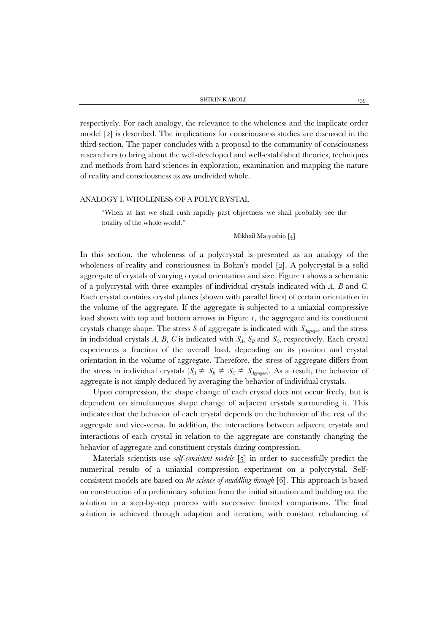respectively. For each analogy, the relevance to the wholeness and the implicate order model [2] is described. The implications for consciousness studies are discussed in the third section. The paper concludes with a proposal to the community of consciousness researchers to bring about the well-developed and well-established theories, techniques and methods from hard sciences in exploration, examination and mapping the nature of reality and consciousness as *one* undivided whole.

### ANALOGY I. WHOLENESS OF A POLYCRYSTAL

"When at last we shall rush rapidly past objectness we shall probably see the totality of the whole world."

## Mikhail Matyushin [4]

In this section, the wholeness of a polycrystal is presented as an analogy of the wholeness of reality and consciousness in Bohm's model [2]. A polycrystal is a solid aggregate of crystals of varying crystal orientation and size. Figure 1 shows a schematic of a polycrystal with three examples of individual crystals indicated with *A*, *B* and *C*. Each crystal contains crystal planes (shown with parallel lines) of certain orientation in the volume of the aggregate. If the aggregate is subjected to a uniaxial compressive load shown with top and bottom arrows in Figure 1, the aggregate and its constituent crystals change shape. The stress *S* of aggregate is indicated with *SAggregate* and the stress in individual crystals  $A$ ,  $B$ ,  $C$  is indicated with  $S_A$ ,  $S_B$  and  $S_C$ , respectively. Each crystal experiences a fraction of the overall load, depending on its position and crystal orientation in the volume of aggregate. Therefore, the stress of aggregate differs from the stress in individual crystals  $(S_A \neq S_B \neq S_C \neq S_{Aggregate})$ . As a result, the behavior of aggregate is not simply deduced by averaging the behavior of individual crystals.

Upon compression, the shape change of each crystal does not occur freely, but is dependent on simultaneous shape change of adjacent crystals surrounding it. This indicates that the behavior of each crystal depends on the behavior of the rest of the aggregate and vice-versa. In addition, the interactions between adjacent crystals and interactions of each crystal in relation to the aggregate are constantly changing the behavior of aggregate and constituent crystals during compression.

Materials scientists use *self-consistent models* [5] in order to successfully predict the numerical results of a uniaxial compression experiment on a polycrystal. Selfconsistent models are based on *the science of muddling through* [6]. This approach is based on construction of a preliminary solution from the initial situation and building out the solution in a step-by-step process with successive limited comparisons. The final solution is achieved through adaption and iteration, with constant rebalancing of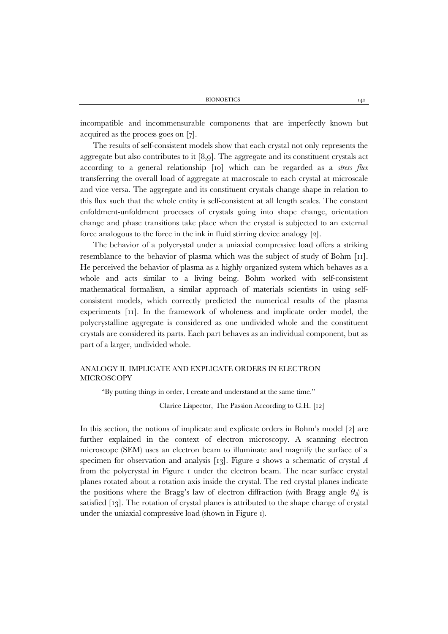incompatible and incommensurable components that are imperfectly known but acquired as the process goes on [7].

The results of self-consistent models show that each crystal not only represents the aggregate but also contributes to it [8,9]. The aggregate and its constituent crystals act according to a general relationship [10] which can be regarded as a *stress flux* transferring the overall load of aggregate at macroscale to each crystal at microscale and vice versa. The aggregate and its constituent crystals change shape in relation to this flux such that the whole entity is self-consistent at all length scales. The constant enfoldment-unfoldment processes of crystals going into shape change, orientation change and phase transitions take place when the crystal is subjected to an external force analogous to the force in the ink in fluid stirring device analogy [2].

The behavior of a polycrystal under a uniaxial compressive load offers a striking resemblance to the behavior of plasma which was the subject of study of Bohm [11]. He perceived the behavior of plasma as a highly organized system which behaves as a whole and acts similar to a living being. Bohm worked with self-consistent mathematical formalism, a similar approach of materials scientists in using selfconsistent models, which correctly predicted the numerical results of the plasma experiments [11]. In the framework of wholeness and implicate order model, the polycrystalline aggregate is considered as one undivided whole and the constituent crystals are considered its parts. Each part behaves as an individual component, but as part of a larger, undivided whole.

# ANALOGY II. IMPLICATE AND EXPLICATE ORDERS IN ELECTRON **MICROSCOPY**

"By putting things in order, I create and understand at the same time."

Clarice Lispector, The Passion According to G.H. [12]

In this section, the notions of implicate and explicate orders in Bohm's model [2] are further explained in the context of electron microscopy. A scanning electron microscope (SEM) uses an electron beam to illuminate and magnify the surface of a specimen for observation and analysis [13]. Figure 2 shows a schematic of crystal *A* from the polycrystal in Figure 1 under the electron beam. The near surface crystal planes rotated about a rotation axis inside the crystal. The red crystal planes indicate the positions where the Bragg's law of electron diffraction (with Bragg angle  $\theta_B$ ) is satisfied [13]. The rotation of crystal planes is attributed to the shape change of crystal under the uniaxial compressive load (shown in Figure 1).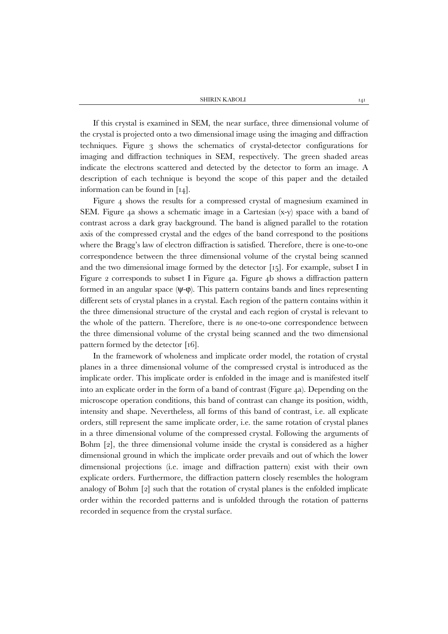SHIRIN KABOLI 141

If this crystal is examined in SEM, the near surface, three dimensional volume of the crystal is projected onto a two dimensional image using the imaging and diffraction techniques. Figure 3 shows the schematics of crystal-detector configurations for imaging and diffraction techniques in SEM, respectively. The green shaded areas indicate the electrons scattered and detected by the detector to form an image. A description of each technique is beyond the scope of this paper and the detailed information can be found in [14].

Figure 4 shows the results for a compressed crystal of magnesium examined in SEM. Figure 4a shows a schematic image in a Cartesian (x-y) space with a band of contrast across a dark gray background. The band is aligned parallel to the rotation axis of the compressed crystal and the edges of the band correspond to the positions where the Bragg's law of electron diffraction is satisfied. Therefore, there is one-to-one correspondence between the three dimensional volume of the crystal being scanned and the two dimensional image formed by the detector [15]. For example, subset I in Figure 2 corresponds to subset I in Figure 4a. Figure 4b shows a diffraction pattern formed in an angular space  $(\Psi-\phi)$ . This pattern contains bands and lines representing different sets of crystal planes in a crystal. Each region of the pattern contains within it the three dimensional structure of the crystal and each region of crystal is relevant to the whole of the pattern. Therefore, there is *no* one-to-one correspondence between the three dimensional volume of the crystal being scanned and the two dimensional pattern formed by the detector [16].

In the framework of wholeness and implicate order model, the rotation of crystal planes in a three dimensional volume of the compressed crystal is introduced as the implicate order. This implicate order is enfolded in the image and is manifested itself into an explicate order in the form of a band of contrast (Figure 4a). Depending on the microscope operation conditions, this band of contrast can change its position, width, intensity and shape. Nevertheless, all forms of this band of contrast, i.e. all explicate orders, still represent the same implicate order, i.e. the same rotation of crystal planes in a three dimensional volume of the compressed crystal. Following the arguments of Bohm [2], the three dimensional volume inside the crystal is considered as a higher dimensional ground in which the implicate order prevails and out of which the lower dimensional projections (i.e. image and diffraction pattern) exist with their own explicate orders. Furthermore, the diffraction pattern closely resembles the hologram analogy of Bohm [2] such that the rotation of crystal planes is the enfolded implicate order within the recorded patterns and is unfolded through the rotation of patterns recorded in sequence from the crystal surface.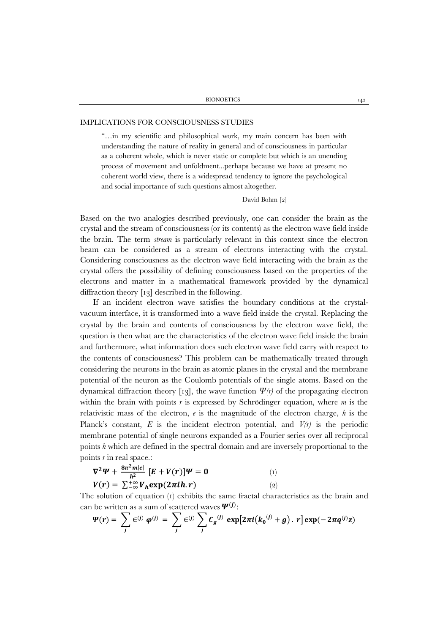## IMPLICATIONS FOR CONSCIOUSNESS STUDIES

"…in my scientific and philosophical work, my main concern has been with understanding the nature of reality in general and of consciousness in particular as a coherent whole, which is never static or complete but which is an unending process of movement and unfoldment...perhaps because we have at present no coherent world view, there is a widespread tendency to ignore the psychological and social importance of such questions almost altogether.

#### David Bohm [2]

Based on the two analogies described previously, one can consider the brain as the crystal and the stream of consciousness (or its contents) as the electron wave field inside the brain. The term *stream* is particularly relevant in this context since the electron beam can be considered as a stream of electrons interacting with the crystal. Considering consciousness as the electron wave field interacting with the brain as the crystal offers the possibility of defining consciousness based on the properties of the electrons and matter in a mathematical framework provided by the dynamical diffraction theory [13] described in the following.

If an incident electron wave satisfies the boundary conditions at the crystalvacuum interface, it is transformed into a wave field inside the crystal. Replacing the crystal by the brain and contents of consciousness by the electron wave field, the question is then what are the characteristics of the electron wave field inside the brain and furthermore, what information does such electron wave field carry with respect to the contents of consciousness? This problem can be mathematically treated through considering the neurons in the brain as atomic planes in the crystal and the membrane potential of the neuron as the Coulomb potentials of the single atoms. Based on the dynamical diffraction theory [13], the wave function *Ψ(r)* of the propagating electron within the brain with points *r* is expressed by Schrödinger equation, where *m* is the relativistic mass of the electron, *e* is the magnitude of the electron charge, *h* is the Planck's constant,  $E$  is the incident electron potential, and  $V(r)$  is the periodic membrane potential of single neurons expanded as a Fourier series over all reciprocal points *h* which are defined in the spectral domain and are inversely proportional to the points *r* in real space.:

$$
\nabla^2 \Psi + \frac{8\pi^2 m|e|}{h^2} \left[ E + V(r) \right] \Psi = 0
$$
\n
$$
V(r) = \sum_{-\infty}^{+\infty} V_h \exp(2\pi i h \cdot r)
$$
\n
$$
(2)
$$

The solution of equation (1) exhibits the same fractal characteristics as the brain and can be written as a sum of scattered waves  $\Psi^{(j)}$ :

$$
\Psi(r) = \sum_j \in^{(j)} \varphi^{(j)} = \sum_j \in^{(j)} \sum_j C_g^{(j)} \exp[2\pi i (k_0^{(j)} + g) \cdot r] \exp(-2\pi q^{(j)} z)
$$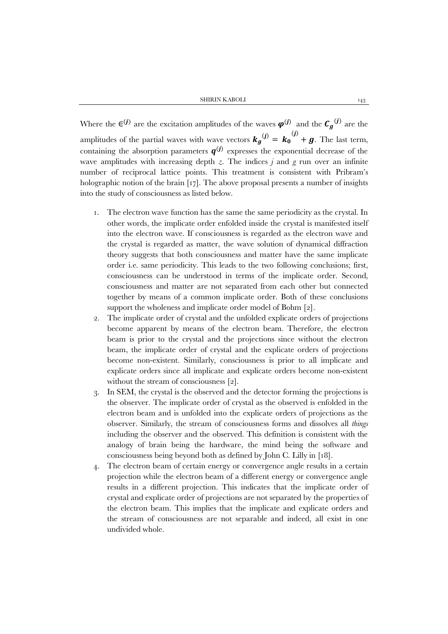Where the  $\epsilon^{(j)}$  are the excitation amplitudes of the waves  $\varphi^{(j)}$  and the  $C_g^{(j)}$  are the amplitudes of the partial waves with wave vectors  $\mathbf{k}_g^{(j)} = \mathbf{k}_0^{(j)} + \mathbf{g}$ . The last term, containing the absorption parameters  $q^{(j)}$  expresses the exponential decrease of the wave amplitudes with increasing depth  $z$ . The indices  $j$  and  $g$  run over an infinite number of reciprocal lattice points. This treatment is consistent with Pribram's holographic notion of the brain [17]. The above proposal presents a number of insights into the study of consciousness as listed below.

- 1. The electron wave function has the same the same periodicity as the crystal. In other words, the implicate order enfolded inside the crystal is manifested itself into the electron wave. If consciousness is regarded as the electron wave and the crystal is regarded as matter, the wave solution of dynamical diffraction theory suggests that both consciousness and matter have the same implicate order i.e. same periodicity. This leads to the two following conclusions; first, consciousness can be understood in terms of the implicate order. Second, consciousness and matter are not separated from each other but connected together by means of a common implicate order. Both of these conclusions support the wholeness and implicate order model of Bohm [2].
- 2. The implicate order of crystal and the unfolded explicate orders of projections become apparent by means of the electron beam. Therefore, the electron beam is prior to the crystal and the projections since without the electron beam, the implicate order of crystal and the explicate orders of projections become non-existent. Similarly, consciousness is prior to all implicate and explicate orders since all implicate and explicate orders become non-existent without the stream of consciousness [2].
- 3. In SEM, the crystal is the observed and the detector forming the projections is the observer. The implicate order of crystal as the observed is enfolded in the electron beam and is unfolded into the explicate orders of projections as the observer. Similarly, the stream of consciousness forms and dissolves all *things* including the observer and the observed. This definition is consistent with the analogy of brain being the hardware, the mind being the software and consciousness being beyond both as defined by John C. Lilly in [18].
- 4. The electron beam of certain energy or convergence angle results in a certain projection while the electron beam of a different energy or convergence angle results in a different projection. This indicates that the implicate order of crystal and explicate order of projections are not separated by the properties of the electron beam. This implies that the implicate and explicate orders and the stream of consciousness are not separable and indeed, all exist in one undivided whole.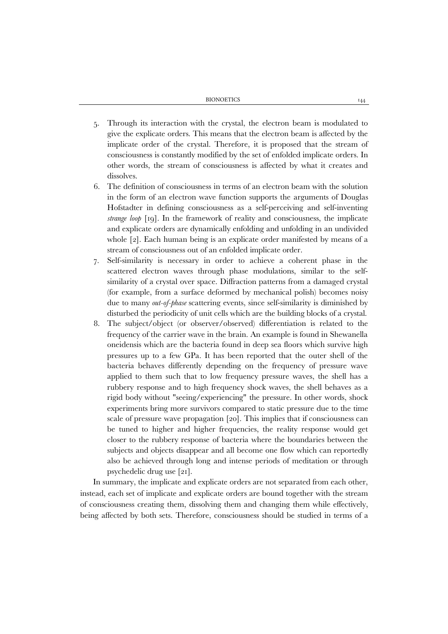- 5. Through its interaction with the crystal, the electron beam is modulated to give the explicate orders. This means that the electron beam is affected by the implicate order of the crystal. Therefore, it is proposed that the stream of consciousness is constantly modified by the set of enfolded implicate orders. In other words, the stream of consciousness is affected by what it creates and dissolves.
- 6. The definition of consciousness in terms of an electron beam with the solution in the form of an electron wave function supports the arguments of Douglas Hofstadter in defining consciousness as a self-perceiving and self-inventing *strange loop* [19]. In the framework of reality and consciousness, the implicate and explicate orders are dynamically enfolding and unfolding in an undivided whole [2]. Each human being is an explicate order manifested by means of a stream of consciousness out of an enfolded implicate order.
- 7. Self-similarity is necessary in order to achieve a coherent phase in the scattered electron waves through phase modulations, similar to the selfsimilarity of a crystal over space. Diffraction patterns from a damaged crystal (for example, from a surface deformed by mechanical polish) becomes noisy due to many *out-of-phase* scattering events, since self-similarity is diminished by disturbed the periodicity of unit cells which are the building blocks of a crystal.
- 8. The subject/object (or observer/observed) differentiation is related to the frequency of the carrier wave in the brain. An example is found in Shewanella oneidensis which are the bacteria found in deep sea floors which survive high pressures up to a few GPa. It has been reported that the outer shell of the bacteria behaves differently depending on the frequency of pressure wave applied to them such that to low frequency pressure waves, the shell has a rubbery response and to high frequency shock waves, the shell behaves as a rigid body without "seeing/experiencing" the pressure. In other words, shock experiments bring more survivors compared to static pressure due to the time scale of pressure wave propagation [20]. This implies that if consciousness can be tuned to higher and higher frequencies, the reality response would get closer to the rubbery response of bacteria where the boundaries between the subjects and objects disappear and all become one flow which can reportedly also be achieved through long and intense periods of meditation or through psychedelic drug use [21].

In summary, the implicate and explicate orders are not separated from each other, instead, each set of implicate and explicate orders are bound together with the stream of consciousness creating them, dissolving them and changing them while effectively, being affected by both sets. Therefore, consciousness should be studied in terms of a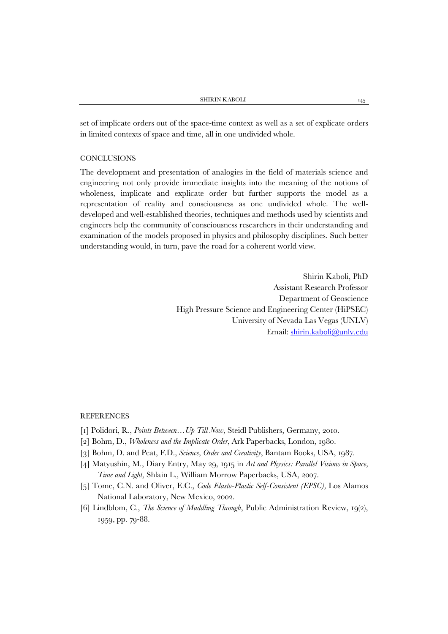set of implicate orders out of the space-time context as well as a set of explicate orders in limited contexts of space and time, all in one undivided whole.

## **CONCLUSIONS**

The development and presentation of analogies in the field of materials science and engineering not only provide immediate insights into the meaning of the notions of wholeness, implicate and explicate order but further supports the model as a representation of reality and consciousness as one undivided whole. The welldeveloped and well-established theories, techniques and methods used by scientists and engineers help the community of consciousness researchers in their understanding and examination of the models proposed in physics and philosophy disciplines. Such better understanding would, in turn, pave the road for a coherent world view.

> Shirin Kaboli, PhD Assistant Research Professor Department of Geoscience High Pressure Science and Engineering Center (HiPSEC) University of Nevada Las Vegas (UNLV) Email: [shirin.kaboli@unlv.edu](mailto:shirin.kaboli@unlv.edu)

# **REFERENCES**

- [1] Polidori, R., *Points Between…Up Till Now*, Steidl Publishers, Germany, 2010.
- [2] Bohm, D., *Wholeness and the Implicate Order*, Ark Paperbacks, London, 1980.
- [3] Bohm, D. and Peat, F.D., *Science, Order and Creativity*, Bantam Books, USA, 1987.
- [4] Matyushin, M., Diary Entry, May 29, 1915 in *Art and Physics: Parallel Visions in Space, Time and Light*, Shlain L.*,* William Morrow Paperbacks, USA, 2007.
- [5] Tome, C.N. and Oliver, E.C., *Code Elasto-Plastic Self-Consistent (EPSC),* Los Alamos National Laboratory, New Mexico, 2002.
- [6] Lindblom, C., *The Science of Muddling Through*, Public Administration Review, 19(2), 1959, pp. 79-88.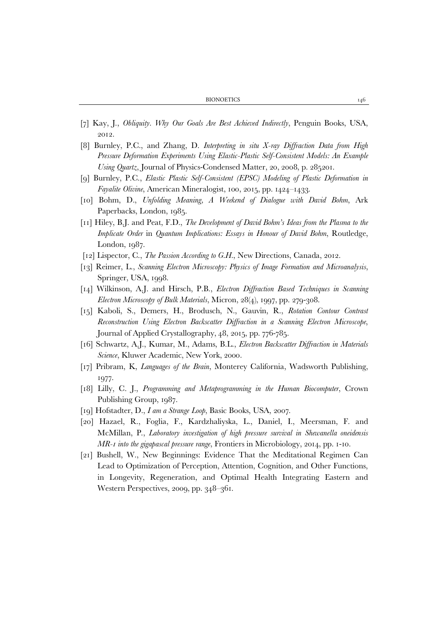BIONOETICS 146

- [7] Kay, J., *Obliquity. Why Our Goals Are Best Achieved Indirectly*, Penguin Books, USA, 2012.
- [8] Burnley, P.C., and Zhang, D. *Interpreting in situ X-ray Diffraction Data from High Pressure Deformation Experiments Using Elastic-Plastic Self-Consistent Models: An Example Using Quartz*, Journal of Physics-Condensed Matter, 20, 2008, p. 285201.
- [9] Burnley, P.C., *Elastic Plastic Self-Consistent (EPSC) Modeling of Plastic Deformation in Fayalite Olivine*, American Mineralogist, 100, 2015, pp. 1424–1433.
- [10] Bohm, D., *Unfolding Meaning, A Weekend of Dialogue with David Bohm*, Ark Paperbacks, London, 1985.
- [11] Hiley, B.J. and Peat, F.D., *The Development of David Bohm's Ideas from the Plasma to the Implicate Order* in *Quantum Implications: Essays in Honour of David Bohm*, Routledge, London, 1987.
- [12] Lispector, C., *The Passion According to G.H.*, New Directions, Canada, 2012.
- [13] Reimer, L., *Scanning Electron Microscopy: Physics of Image Formation and Microanalysis*, Springer, USA, 1998.
- [14] Wilkinson, A.J. and Hirsch, P.B., *Electron Diffraction Based Techniques in Scanning Electron Microscopy of Bulk Materials*, Micron, 28(4), 1997, pp. 279-308.
- [15] Kaboli, S., Demers, H., Brodusch, N., Gauvin, R., *Rotation Contour Contrast Reconstruction Using Electron Backscatter Diffraction in a Scanning Electron Microscope*, Journal of Applied Crystallography, 48, 2015, pp. 776-785.
- [16] Schwartz, A.J., Kumar, M., Adams, B.L., *Electron Backscatter Diffraction in Materials Science*, Kluwer Academic, New York, 2000.
- [17] Pribram, K, *Languages of the Brain*, Monterey California, Wadsworth Publishing, 1977.
- [18] Lilly, C. J., *Programming and Metaprogramming in the Human Biocomputer*, Crown Publishing Group, 1987.
- [19] Hofstadter, D., *I am a Strange Loop*, Basic Books, USA, 2007.
- [20] Hazael, R., Foglia, F., Kardzhaliyska, L., Daniel, I., Meersman, F. and McMillan, P., *Laboratory investigation of high pressure survival in Shewanella oneidensis MR-1 into the gigapascal pressure range*, Frontiers in Microbiology, 2014, pp. 1-10.
- [21] Bushell, W., New Beginnings: Evidence That the Meditational Regimen Can Lead to Optimization of Perception, Attention, Cognition, and Other Functions, in Longevity, Regeneration, and Optimal Health Integrating Eastern and Western Perspectives, 2009, pp. 348–361.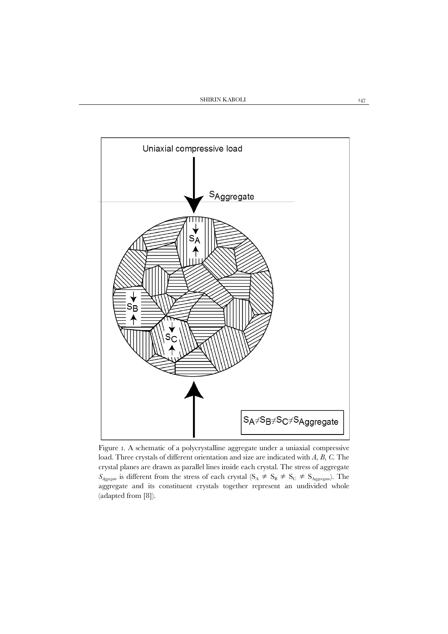

Figure 1. A schematic of a polycrystalline aggregate under a uniaxial compressive load. Three crystals of different orientation and size are indicated with *A*, *B*, *C*. The crystal planes are drawn as parallel lines inside each crystal. The stress of aggregate  $S_{Aggegate}$  is different from the stress of each crystal ( $S_A \neq S_B \neq S_C \neq S_{Aggreate}$ ). The aggregate and its constituent crystals together represent an undivided whole (adapted from [8]).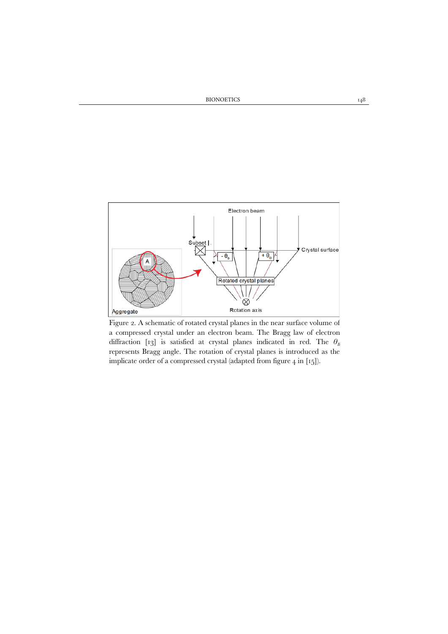

Figure 2. A schematic of rotated crystal planes in the near surface volume of a compressed crystal under an electron beam. The Bragg law of electron diffraction [13] is satisfied at crystal planes indicated in red. The  $\theta_B$ represents Bragg angle. The rotation of crystal planes is introduced as the implicate order of a compressed crystal (adapted from figure 4 in [15]).